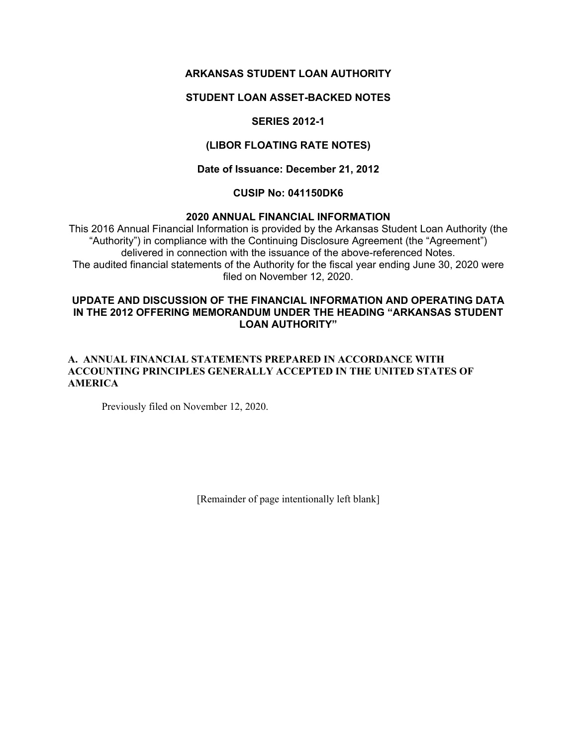# **ARKANSAS STUDENT LOAN AUTHORITY**

### **STUDENT LOAN ASSET-BACKED NOTES**

# **SERIES 2012-1**

### **(LIBOR FLOATING RATE NOTES)**

#### **Date of Issuance: December 21, 2012**

### **CUSIP No: 041150DK6**

#### **2020 ANNUAL FINANCIAL INFORMATION**

This 2016 Annual Financial Information is provided by the Arkansas Student Loan Authority (the "Authority") in compliance with the Continuing Disclosure Agreement (the "Agreement") delivered in connection with the issuance of the above-referenced Notes. The audited financial statements of the Authority for the fiscal year ending June 30, 2020 were filed on November 12, 2020.

### **UPDATE AND DISCUSSION OF THE FINANCIAL INFORMATION AND OPERATING DATA IN THE 2012 OFFERING MEMORANDUM UNDER THE HEADING "ARKANSAS STUDENT LOAN AUTHORITY"**

#### **A. ANNUAL FINANCIAL STATEMENTS PREPARED IN ACCORDANCE WITH ACCOUNTING PRINCIPLES GENERALLY ACCEPTED IN THE UNITED STATES OF AMERICA**

Previously filed on November 12, 2020.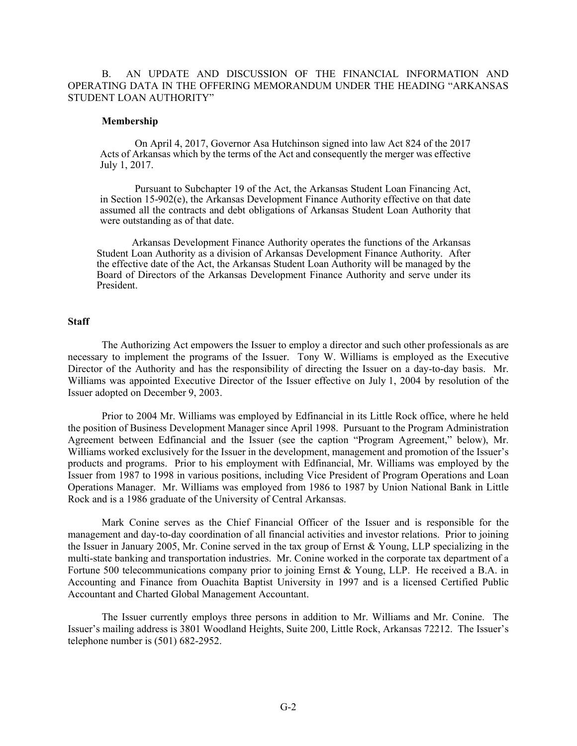B. AN UPDATE AND DISCUSSION OF THE FINANCIAL INFORMATION AND OPERATING DATA IN THE OFFERING MEMORANDUM UNDER THE HEADING "ARKANSAS STUDENT LOAN AUTHORITY"

#### **Membership**

On April 4, 2017, Governor Asa Hutchinson signed into law Act 824 of the 2017 Acts of Arkansas which by the terms of the Act and consequently the merger was effective July 1, 2017.

Pursuant to Subchapter 19 of the Act, the Arkansas Student Loan Financing Act, in Section 15-902(e), the Arkansas Development Finance Authority effective on that date assumed all the contracts and debt obligations of Arkansas Student Loan Authority that were outstanding as of that date.

Arkansas Development Finance Authority operates the functions of the Arkansas Student Loan Authority as a division of Arkansas Development Finance Authority. After the effective date of the Act, the Arkansas Student Loan Authority will be managed by the Board of Directors of the Arkansas Development Finance Authority and serve under its President.

#### **Staff**

The Authorizing Act empowers the Issuer to employ a director and such other professionals as are necessary to implement the programs of the Issuer. Tony W. Williams is employed as the Executive Director of the Authority and has the responsibility of directing the Issuer on a day-to-day basis. Mr. Williams was appointed Executive Director of the Issuer effective on July 1, 2004 by resolution of the Issuer adopted on December 9, 2003.

Prior to 2004 Mr. Williams was employed by Edfinancial in its Little Rock office, where he held the position of Business Development Manager since April 1998. Pursuant to the Program Administration Agreement between Edfinancial and the Issuer (see the caption "Program Agreement," below), Mr. Williams worked exclusively for the Issuer in the development, management and promotion of the Issuer's products and programs. Prior to his employment with Edfinancial, Mr. Williams was employed by the Issuer from 1987 to 1998 in various positions, including Vice President of Program Operations and Loan Operations Manager. Mr. Williams was employed from 1986 to 1987 by Union National Bank in Little Rock and is a 1986 graduate of the University of Central Arkansas.

Mark Conine serves as the Chief Financial Officer of the Issuer and is responsible for the management and day-to-day coordination of all financial activities and investor relations. Prior to joining the Issuer in January 2005, Mr. Conine served in the tax group of Ernst & Young, LLP specializing in the multi-state banking and transportation industries. Mr. Conine worked in the corporate tax department of a Fortune 500 telecommunications company prior to joining Ernst & Young, LLP. He received a B.A. in Accounting and Finance from Ouachita Baptist University in 1997 and is a licensed Certified Public Accountant and Charted Global Management Accountant.

The Issuer currently employs three persons in addition to Mr. Williams and Mr. Conine. The Issuer's mailing address is 3801 Woodland Heights, Suite 200, Little Rock, Arkansas 72212. The Issuer's telephone number is (501) 682-2952.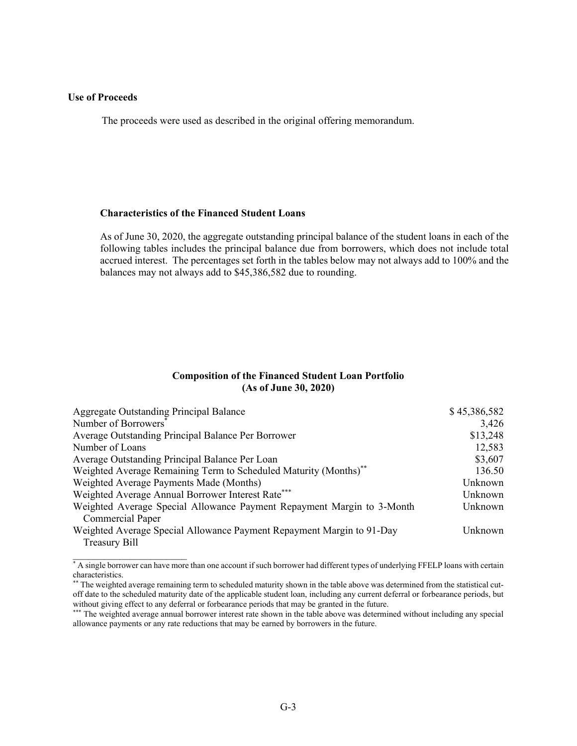#### **Use of Proceeds**

 $\mathcal{L}=\{1,2,3,4,5\}$ 

The proceeds were used as described in the original offering memorandum.

#### **Characteristics of the Financed Student Loans**

As of June 30, 2020, the aggregate outstanding principal balance of the student loans in each of the following tables includes the principal balance due from borrowers, which does not include total accrued interest. The percentages set forth in the tables below may not always add to 100% and the balances may not always add to \$45,386,582 due to rounding.

#### **Composition of the Financed Student Loan Portfolio (As of June 30, 2020)**

| Aggregate Outstanding Principal Balance                                      | \$45,386,582 |
|------------------------------------------------------------------------------|--------------|
| Number of Borrowers <sup>®</sup>                                             | 3,426        |
| Average Outstanding Principal Balance Per Borrower                           | \$13,248     |
| Number of Loans                                                              | 12,583       |
| Average Outstanding Principal Balance Per Loan                               | \$3,607      |
| Weighted Average Remaining Term to Scheduled Maturity (Months) <sup>**</sup> | 136.50       |
| Weighted Average Payments Made (Months)                                      | Unknown      |
| Weighted Average Annual Borrower Interest Rate***                            | Unknown      |
| Weighted Average Special Allowance Payment Repayment Margin to 3-Month       | Unknown      |
| <b>Commercial Paper</b>                                                      |              |
| Weighted Average Special Allowance Payment Repayment Margin to 91-Day        | Unknown      |
| Treasury Bill                                                                |              |

<sup>\*</sup> A single borrower can have more than one account if such borrower had different types of underlying FFELP loans with certain characteristics.

<sup>\*\*</sup> The weighted average remaining term to scheduled maturity shown in the table above was determined from the statistical cutoff date to the scheduled maturity date of the applicable student loan, including any current deferral or forbearance periods, but without giving effect to any deferral or forbearance periods that may be granted in the future.

<sup>\*\*\*</sup> The weighted average annual borrower interest rate shown in the table above was determined without including any special allowance payments or any rate reductions that may be earned by borrowers in the future.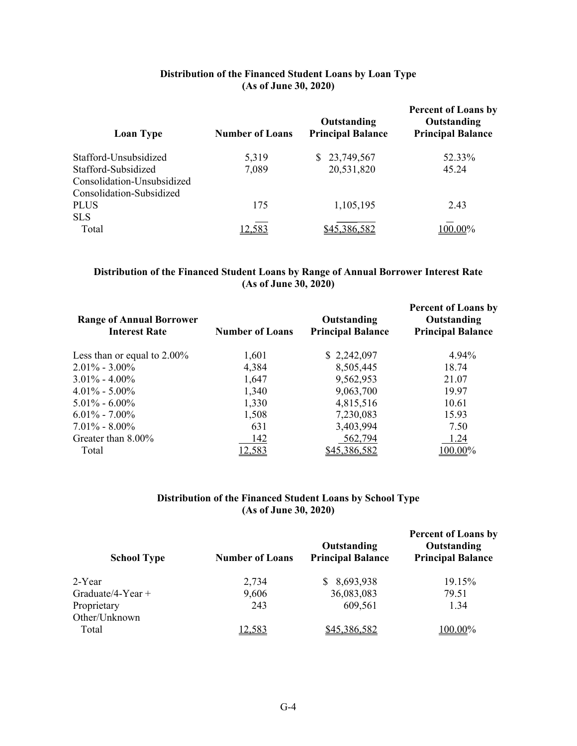## **Distribution of the Financed Student Loans by Loan Type (As of June 30, 2020)**

| <b>Number of Loans</b> | Outstanding<br><b>Principal Balance</b> | <b>Percent of Loans by</b><br>Outstanding<br><b>Principal Balance</b> |
|------------------------|-----------------------------------------|-----------------------------------------------------------------------|
| 5,319                  | 23,749,567<br>S.                        | 52.33%                                                                |
| 7,089                  | 20,531,820                              | 45.24                                                                 |
|                        |                                         |                                                                       |
|                        |                                         |                                                                       |
| 175                    | 1,105,195                               | 2.43                                                                  |
|                        |                                         |                                                                       |
|                        |                                         | $0.00\%$                                                              |
|                        |                                         |                                                                       |

### **Distribution of the Financed Student Loans by Range of Annual Borrower Interest Rate (As of June 30, 2020)**

| <b>Range of Annual Borrower</b><br><b>Interest Rate</b> | <b>Number of Loans</b> | Outstanding<br><b>Principal Balance</b> | <b>Percent of Loans by</b><br>Outstanding<br><b>Principal Balance</b> |
|---------------------------------------------------------|------------------------|-----------------------------------------|-----------------------------------------------------------------------|
| Less than or equal to $2.00\%$                          | 1,601                  | \$2,242,097                             | 4.94%                                                                 |
| $2.01\% - 3.00\%$                                       | 4,384                  | 8,505,445                               | 18.74                                                                 |
| $3.01\% - 4.00\%$                                       | 1,647                  | 9,562,953                               | 21.07                                                                 |
| $4.01\% - 5.00\%$                                       | 1,340                  | 9,063,700                               | 19.97                                                                 |
| $5.01\% - 6.00\%$                                       | 1,330                  | 4,815,516                               | 10.61                                                                 |
| $6.01\% - 7.00\%$                                       | 1,508                  | 7,230,083                               | 15.93                                                                 |
| $7.01\% - 8.00\%$                                       | 631                    | 3,403,994                               | 7.50                                                                  |
| Greater than 8.00%                                      | 142                    | 562,794                                 | 1.24                                                                  |
| Total                                                   | 12,583                 | <u>\$45,386,582</u>                     | 100.00%                                                               |

## **Distribution of the Financed Student Loans by School Type (As of June 30, 2020)**

| <b>School Type</b>  | <b>Number of Loans</b> | Outstanding<br><b>Principal Balance</b> | <b>Percent of Loans by</b><br>Outstanding<br><b>Principal Balance</b> |
|---------------------|------------------------|-----------------------------------------|-----------------------------------------------------------------------|
| 2-Year              | 2,734                  | 8,693,938                               | 19.15%                                                                |
| Graduate/4-Year $+$ | 9,606                  | 36,083,083                              | 79.51                                                                 |
| Proprietary         | 243                    | 609,561                                 | 1.34                                                                  |
| Other/Unknown       |                        |                                         |                                                                       |
| Total               | 12,583                 | \$45,386,582                            | 100.00%                                                               |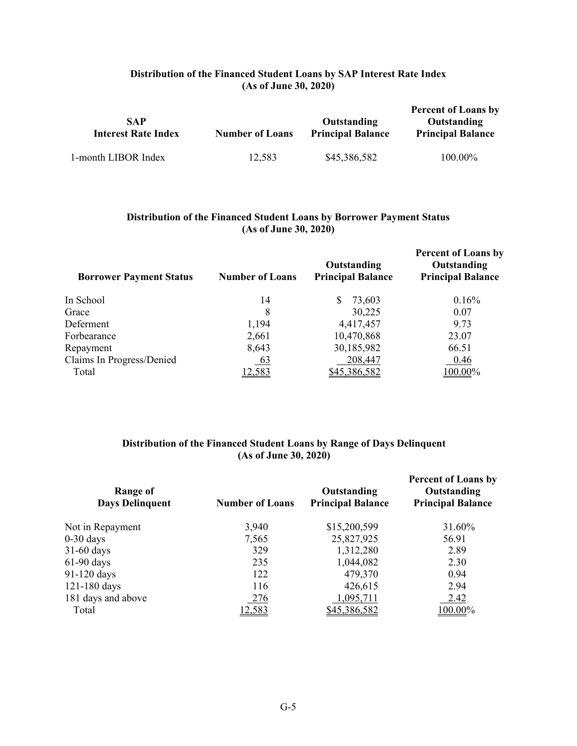## **Distribution of the Financed Student Loans by SAP Interest Rate Index (As of June 30, 2020)**

| <b>SAP</b><br><b>Interest Rate Index</b> | <b>Number of Loans</b> | Outstanding<br><b>Principal Balance</b> | <b>Percent of Loans by</b><br>Outstanding<br><b>Principal Balance</b> |
|------------------------------------------|------------------------|-----------------------------------------|-----------------------------------------------------------------------|
| 1-month LIBOR Index                      | 12,583                 | \$45,386,582                            | 100.00%                                                               |

#### **Distribution of the Financed Student Loans by Borrower Payment Status (As of June 30, 2020)**

| <b>Borrower Payment Status</b> | <b>Number of Loans</b> | Outstanding<br><b>Principal Balance</b> | <b>Percent of Loans by</b><br>Outstanding<br><b>Principal Balance</b> |
|--------------------------------|------------------------|-----------------------------------------|-----------------------------------------------------------------------|
| In School                      | 14                     | S<br>73,603                             | 0.16%                                                                 |
| Grace                          | 8                      | 30,225                                  | 0.07                                                                  |
| Deferment                      | 1,194                  | 4,417,457                               | 9.73                                                                  |
| Forbearance                    | 2,661                  | 10,470,868                              | 23.07                                                                 |
| Repayment                      | 8,643                  | 30,185,982                              | 66.51                                                                 |
| Claims In Progress/Denied      | 63                     | 208,447                                 | 0.46                                                                  |
| Total                          | <u>12,583</u>          | \$45,386,582                            | 100.00%                                                               |

# **Distribution of the Financed Student Loans by Range of Days Delinquent (As of June 30, 2020)**

| Range of<br><b>Days Delinquent</b> | <b>Number of Loans</b> | Outstanding<br><b>Principal Balance</b> | <b>Percent of Loans by</b><br>Outstanding<br><b>Principal Balance</b> |
|------------------------------------|------------------------|-----------------------------------------|-----------------------------------------------------------------------|
| Not in Repayment                   | 3,940                  | \$15,200,599                            | 31.60%                                                                |
| $0-30$ days                        | 7,565                  | 25,827,925                              | 56.91                                                                 |
| $31-60$ days                       | 329                    | 1,312,280                               | 2.89                                                                  |
| $61-90$ days                       | 235                    | 1,044,082                               | 2.30                                                                  |
| 91-120 days                        | 122                    | 479,370                                 | 0.94                                                                  |
| 121-180 days                       | 116                    | 426,615                                 | 2.94                                                                  |
| 181 days and above                 | 276                    | 1,095,711                               | 2.42                                                                  |
| Total                              | 12,583                 | \$45,386,582                            | 100.00%                                                               |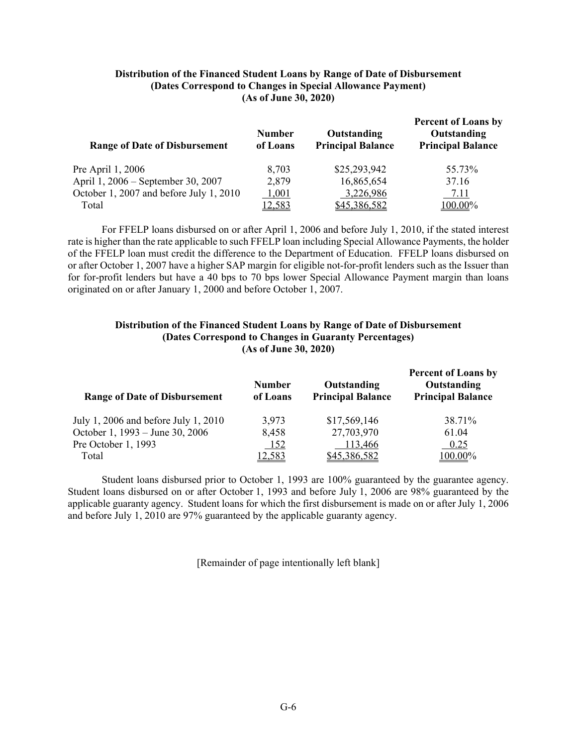#### **Distribution of the Financed Student Loans by Range of Date of Disbursement (Dates Correspond to Changes in Special Allowance Payment) (As of June 30, 2020)**

| <b>Range of Date of Disbursement</b>    | <b>Number</b><br>of Loans | Outstanding<br><b>Principal Balance</b> | <b>Percent of Loans by</b><br>Outstanding<br><b>Principal Balance</b> |
|-----------------------------------------|---------------------------|-----------------------------------------|-----------------------------------------------------------------------|
| Pre April 1, 2006                       | 8,703                     | \$25,293,942                            | 55.73%                                                                |
| April 1, 2006 – September 30, 2007      | 2,879                     | 16,865,654                              | 37.16                                                                 |
| October 1, 2007 and before July 1, 2010 | 1,001                     | 3,226,986                               | 7.11                                                                  |
| Total                                   | 12,583                    | \$45,386,582                            | $100.00\%$                                                            |

For FFELP loans disbursed on or after April 1, 2006 and before July 1, 2010, if the stated interest rate is higher than the rate applicable to such FFELP loan including Special Allowance Payments, the holder of the FFELP loan must credit the difference to the Department of Education. FFELP loans disbursed on or after October 1, 2007 have a higher SAP margin for eligible not-for-profit lenders such as the Issuer than for for-profit lenders but have a 40 bps to 70 bps lower Special Allowance Payment margin than loans originated on or after January 1, 2000 and before October 1, 2007.

#### **Distribution of the Financed Student Loans by Range of Date of Disbursement (Dates Correspond to Changes in Guaranty Percentages) (As of June 30, 2020)**

| <b>Range of Date of Disbursement</b> | <b>Number</b><br>of Loans | Outstanding<br><b>Principal Balance</b> | <b>Percent of Loans by</b><br>Outstanding<br><b>Principal Balance</b> |
|--------------------------------------|---------------------------|-----------------------------------------|-----------------------------------------------------------------------|
| July 1, 2006 and before July 1, 2010 | 3.973                     | \$17,569,146                            | 38.71%                                                                |
| October 1, 1993 – June 30, 2006      | 8,458                     | 27,703,970                              | 61.04                                                                 |
| Pre October 1, 1993                  | 152                       | 113,466                                 | 0.25                                                                  |
| Total                                | 12,583                    | \$45,386,582                            | 100.00%                                                               |

Student loans disbursed prior to October 1, 1993 are 100% guaranteed by the guarantee agency. Student loans disbursed on or after October 1, 1993 and before July 1, 2006 are 98% guaranteed by the applicable guaranty agency. Student loans for which the first disbursement is made on or after July 1, 2006 and before July 1, 2010 are 97% guaranteed by the applicable guaranty agency.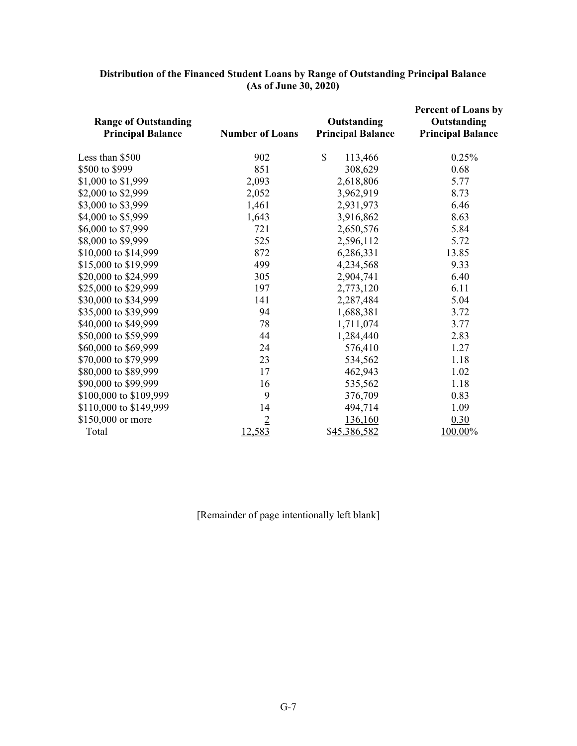| <b>Range of Outstanding</b><br><b>Principal Balance</b> | <b>Number of Loans</b> | Outstanding<br><b>Principal Balance</b> | <b>Percent of Loans by</b><br>Outstanding<br><b>Principal Balance</b> |
|---------------------------------------------------------|------------------------|-----------------------------------------|-----------------------------------------------------------------------|
| Less than \$500                                         | 902                    | $\mathbb{S}$<br>113,466                 | 0.25%                                                                 |
| \$500 to \$999                                          | 851                    | 308,629                                 | 0.68                                                                  |
| \$1,000 to \$1,999                                      | 2,093                  | 2,618,806                               | 5.77                                                                  |
| \$2,000 to \$2,999                                      | 2,052                  | 3,962,919                               | 8.73                                                                  |
| \$3,000 to \$3,999                                      | 1,461                  | 2,931,973                               | 6.46                                                                  |
| \$4,000 to \$5,999                                      | 1,643                  | 3,916,862                               | 8.63                                                                  |
| \$6,000 to \$7,999                                      | 721                    | 2,650,576                               | 5.84                                                                  |
| \$8,000 to \$9,999                                      | 525                    | 2,596,112                               | 5.72                                                                  |
| \$10,000 to \$14,999                                    | 872                    | 6,286,331                               | 13.85                                                                 |
| \$15,000 to \$19,999                                    | 499                    | 4,234,568                               | 9.33                                                                  |
| \$20,000 to \$24,999                                    | 305                    | 2,904,741                               | 6.40                                                                  |
| \$25,000 to \$29,999                                    | 197                    | 2,773,120                               | 6.11                                                                  |
| \$30,000 to \$34,999                                    | 141                    | 2,287,484                               | 5.04                                                                  |
| \$35,000 to \$39,999                                    | 94                     | 1,688,381                               | 3.72                                                                  |
| \$40,000 to \$49,999                                    | 78                     | 1,711,074                               | 3.77                                                                  |
| \$50,000 to \$59,999                                    | 44                     | 1,284,440                               | 2.83                                                                  |
| \$60,000 to \$69,999                                    | 24                     | 576,410                                 | 1.27                                                                  |
| \$70,000 to \$79,999                                    | 23                     | 534,562                                 | 1.18                                                                  |
| \$80,000 to \$89,999                                    | 17                     | 462,943                                 | 1.02                                                                  |
| \$90,000 to \$99,999                                    | 16                     | 535,562                                 | 1.18                                                                  |
| \$100,000 to \$109,999                                  | 9                      | 376,709                                 | 0.83                                                                  |
| \$110,000 to \$149,999                                  | 14                     | 494,714                                 | 1.09                                                                  |
| \$150,000 or more                                       | $\overline{2}$         | 136,160                                 | 0.30                                                                  |
| Total                                                   | 12,583                 | \$45,386,582                            | 100.00%                                                               |

#### **Distribution of the Financed Student Loans by Range of Outstanding Principal Balance (As of June 30, 2020)**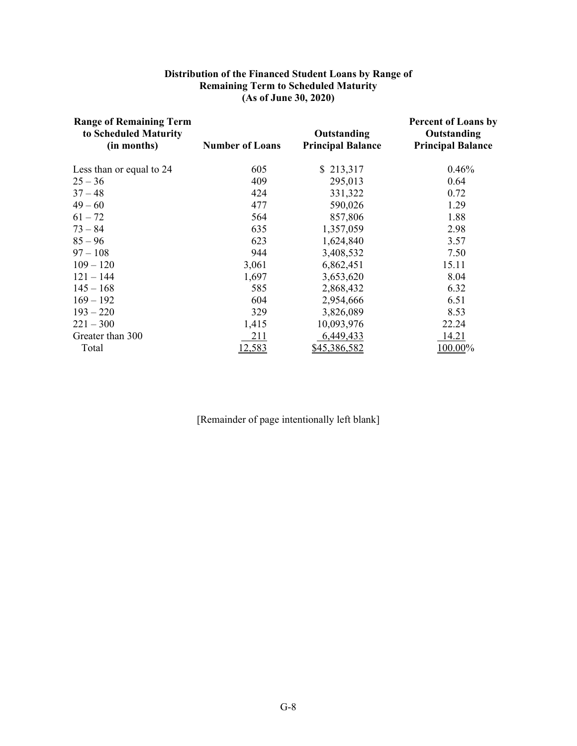#### **Distribution of the Financed Student Loans by Range of Remaining Term to Scheduled Maturity (As of June 30, 2020)**

| <b>Range of Remaining Term</b><br>to Scheduled Maturity<br>(in months) | <b>Number of Loans</b> | Outstanding<br><b>Principal Balance</b> | <b>Percent of Loans by</b><br>Outstanding<br><b>Principal Balance</b> |
|------------------------------------------------------------------------|------------------------|-----------------------------------------|-----------------------------------------------------------------------|
| Less than or equal to 24                                               | 605                    | \$213,317                               | 0.46%                                                                 |
| $25 - 36$                                                              | 409                    | 295,013                                 | 0.64                                                                  |
| $37 - 48$                                                              | 424                    | 331,322                                 | 0.72                                                                  |
| $49 - 60$                                                              | 477                    | 590,026                                 | 1.29                                                                  |
| $61 - 72$                                                              | 564                    | 857,806                                 | 1.88                                                                  |
| $73 - 84$                                                              | 635                    | 1,357,059                               | 2.98                                                                  |
| $85 - 96$                                                              | 623                    | 1,624,840                               | 3.57                                                                  |
| $97 - 108$                                                             | 944                    | 3,408,532                               | 7.50                                                                  |
| $109 - 120$                                                            | 3,061                  | 6,862,451                               | 15.11                                                                 |
| $121 - 144$                                                            | 1,697                  | 3,653,620                               | 8.04                                                                  |
| $145 - 168$                                                            | 585                    | 2,868,432                               | 6.32                                                                  |
| $169 - 192$                                                            | 604                    | 2,954,666                               | 6.51                                                                  |
| $193 - 220$                                                            | 329                    | 3,826,089                               | 8.53                                                                  |
| $221 - 300$                                                            | 1,415                  | 10,093,976                              | 22.24                                                                 |
| Greater than 300                                                       | 211                    | 6,449,433                               | 14.21                                                                 |
| Total                                                                  | 2,583                  | <u>\$45,386,582</u>                     | 100.00%                                                               |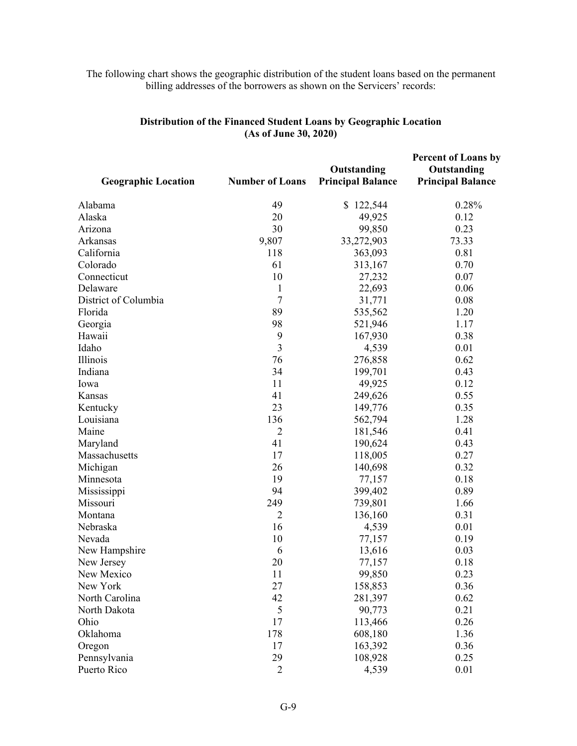## The following chart shows the geographic distribution of the student loans based on the permanent billing addresses of the borrowers as shown on the Servicers' records:

| <b>Geographic Location</b> | <b>Number of Loans</b> | Outstanding<br><b>Principal Balance</b> | <b>Percent of Loans by</b><br>Outstanding<br><b>Principal Balance</b> |
|----------------------------|------------------------|-----------------------------------------|-----------------------------------------------------------------------|
| Alabama                    | 49                     | \$122,544                               | 0.28%                                                                 |
| Alaska                     | 20                     | 49,925                                  | 0.12                                                                  |
| Arizona                    | 30                     | 99,850                                  | 0.23                                                                  |
| Arkansas                   | 9,807                  | 33,272,903                              | 73.33                                                                 |
| California                 | 118                    | 363,093                                 | 0.81                                                                  |
| Colorado                   | 61                     | 313,167                                 | 0.70                                                                  |
| Connecticut                | 10                     | 27,232                                  | 0.07                                                                  |
| Delaware                   | 1                      | 22,693                                  | 0.06                                                                  |
| District of Columbia       | 7                      | 31,771                                  | 0.08                                                                  |
| Florida                    | 89                     | 535,562                                 | 1.20                                                                  |
| Georgia                    | 98                     | 521,946                                 | 1.17                                                                  |
| Hawaii                     | 9                      | 167,930                                 | 0.38                                                                  |
| Idaho                      | 3                      | 4,539                                   | 0.01                                                                  |
| Illinois                   | 76                     | 276,858                                 | 0.62                                                                  |
| Indiana                    | 34                     | 199,701                                 | 0.43                                                                  |
| Iowa                       | 11                     | 49,925                                  | 0.12                                                                  |
| Kansas                     | 41                     | 249,626                                 | 0.55                                                                  |
| Kentucky                   | 23                     | 149,776                                 | 0.35                                                                  |
| Louisiana                  | 136                    | 562,794                                 | 1.28                                                                  |
| Maine                      | $\overline{2}$         | 181,546                                 | 0.41                                                                  |
| Maryland                   | 41                     | 190,624                                 | 0.43                                                                  |
| Massachusetts              | 17                     | 118,005                                 | 0.27                                                                  |
| Michigan                   | 26                     | 140,698                                 | 0.32                                                                  |
| Minnesota                  | 19                     | 77,157                                  | 0.18                                                                  |
| Mississippi                | 94                     | 399,402                                 | 0.89                                                                  |
| Missouri                   | 249                    | 739,801                                 | 1.66                                                                  |
| Montana                    | $\overline{2}$         | 136,160                                 | 0.31                                                                  |
| Nebraska                   | 16                     | 4,539                                   | 0.01                                                                  |
| Nevada                     | 10                     | 77,157                                  | 0.19                                                                  |
| New Hampshire              | 6                      | 13,616                                  | 0.03                                                                  |
| New Jersey                 | 20                     | 77,157                                  | 0.18                                                                  |
| New Mexico                 | 11                     | 99,850                                  | 0.23                                                                  |
| New York                   | 27                     | 158,853                                 | 0.36                                                                  |
| North Carolina             | 42                     | 281,397                                 | 0.62                                                                  |
| North Dakota               | 5                      | 90,773                                  | 0.21                                                                  |
| Ohio                       | 17                     | 113,466                                 | 0.26                                                                  |
| Oklahoma                   | 178                    | 608,180                                 | 1.36                                                                  |
| Oregon                     | 17                     | 163,392                                 | 0.36                                                                  |
| Pennsylvania               | 29                     | 108,928                                 | 0.25                                                                  |
| Puerto Rico                | $\overline{2}$         | 4,539                                   | 0.01                                                                  |

## **Distribution of the Financed Student Loans by Geographic Location (As of June 30, 2020)**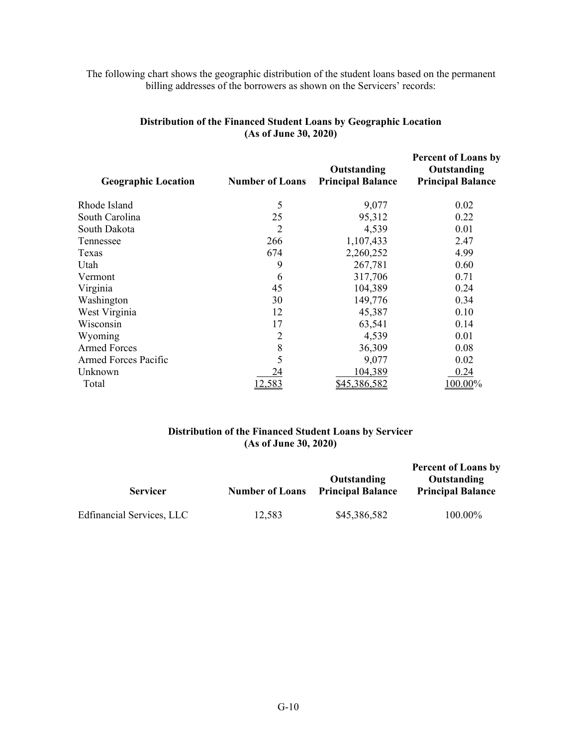## The following chart shows the geographic distribution of the student loans based on the permanent billing addresses of the borrowers as shown on the Servicers' records:

| <b>Geographic Location</b>  | <b>Number of Loans</b> | Outstanding<br><b>Principal Balance</b> | <b>Percent of Loans by</b><br>Outstanding<br><b>Principal Balance</b> |
|-----------------------------|------------------------|-----------------------------------------|-----------------------------------------------------------------------|
| Rhode Island                | 5                      | 9,077                                   | 0.02                                                                  |
| South Carolina              | 25                     | 95,312                                  | 0.22                                                                  |
| South Dakota                | 2                      | 4,539                                   | 0.01                                                                  |
| Tennessee                   | 266                    | 1,107,433                               | 2.47                                                                  |
| Texas                       | 674                    | 2,260,252                               | 4.99                                                                  |
| Utah                        | 9                      | 267,781                                 | 0.60                                                                  |
| Vermont                     | 6                      | 317,706                                 | 0.71                                                                  |
| Virginia                    | 45                     | 104,389                                 | 0.24                                                                  |
| Washington                  | 30                     | 149,776                                 | 0.34                                                                  |
| West Virginia               | 12                     | 45,387                                  | 0.10                                                                  |
| Wisconsin                   | 17                     | 63,541                                  | 0.14                                                                  |
| Wyoming                     | 2                      | 4,539                                   | 0.01                                                                  |
| <b>Armed Forces</b>         | 8                      | 36,309                                  | 0.08                                                                  |
| <b>Armed Forces Pacific</b> | 5                      | 9,077                                   | 0.02                                                                  |
| Unknown                     | 24                     | 104,389                                 | 0.24                                                                  |
| Total                       | 12,583                 | \$45,386,582                            | 100.00%                                                               |

## **Distribution of the Financed Student Loans by Geographic Location (As of June 30, 2020)**

#### **Distribution of the Financed Student Loans by Servicer (As of June 30, 2020)**

|                           |                        |                                         | <b>Percent of Loans by</b>              |  |
|---------------------------|------------------------|-----------------------------------------|-----------------------------------------|--|
| <b>Servicer</b>           | <b>Number of Loans</b> | Outstanding<br><b>Principal Balance</b> | Outstanding<br><b>Principal Balance</b> |  |
| Edfinancial Services, LLC | 12,583                 | \$45,386,582                            | 100.00%                                 |  |